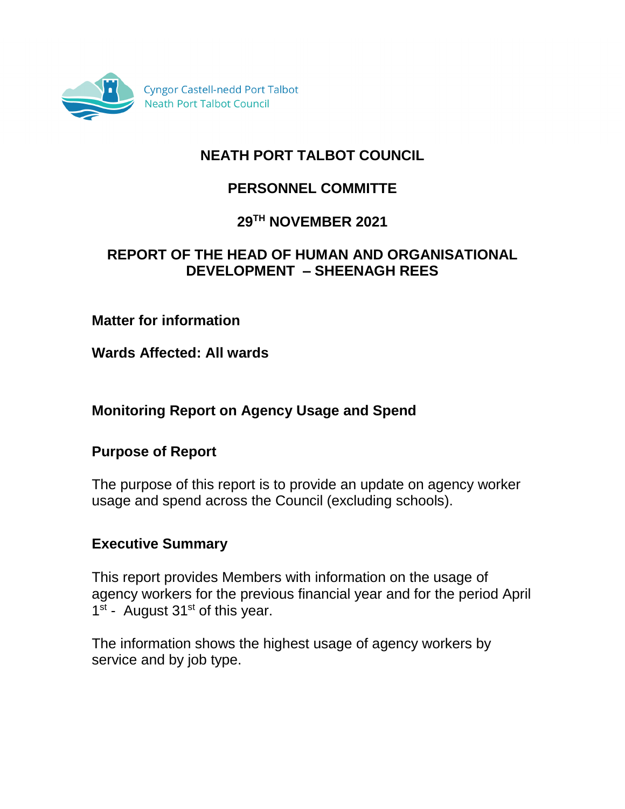

# **NEATH PORT TALBOT COUNCIL**

# **PERSONNEL COMMITTE**

## **29TH NOVEMBER 2021**

## **REPORT OF THE HEAD OF HUMAN AND ORGANISATIONAL DEVELOPMENT – SHEENAGH REES**

## **Matter for information**

**Wards Affected: All wards**

# **Monitoring Report on Agency Usage and Spend**

### **Purpose of Report**

The purpose of this report is to provide an update on agency worker usage and spend across the Council (excluding schools).

### **Executive Summary**

This report provides Members with information on the usage of agency workers for the previous financial year and for the period April 1<sup>st</sup> - August 31<sup>st</sup> of this year.

The information shows the highest usage of agency workers by service and by job type.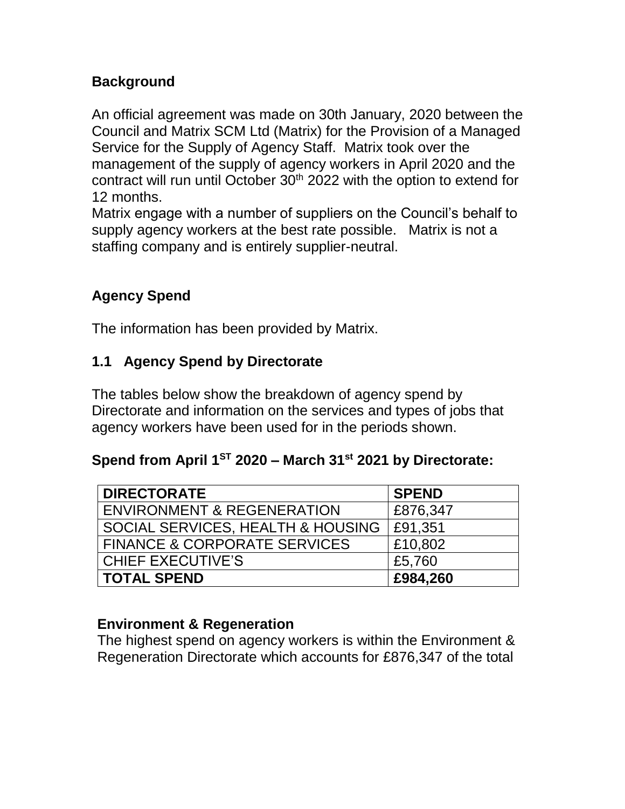# **Background**

An official agreement was made on 30th January, 2020 between the Council and Matrix SCM Ltd (Matrix) for the Provision of a Managed Service for the Supply of Agency Staff. Matrix took over the management of the supply of agency workers in April 2020 and the contract will run until October 30<sup>th</sup> 2022 with the option to extend for 12 months.

Matrix engage with a number of suppliers on the Council's behalf to supply agency workers at the best rate possible. Matrix is not a staffing company and is entirely supplier-neutral.

# **Agency Spend**

The information has been provided by Matrix.

## **1.1 Agency Spend by Directorate**

The tables below show the breakdown of agency spend by Directorate and information on the services and types of jobs that agency workers have been used for in the periods shown.

# **Spend from April 1ST 2020 – March 31st 2021 by Directorate:**

| <b>DIRECTORATE</b>                      | <b>SPEND</b> |
|-----------------------------------------|--------------|
| <b>ENVIRONMENT &amp; REGENERATION</b>   | £876,347     |
| SOCIAL SERVICES, HEALTH & HOUSING       | £91,351      |
| <b>FINANCE &amp; CORPORATE SERVICES</b> | £10,802      |
| <b>CHIEF EXECUTIVE'S</b>                | £5,760       |
| <b>TOTAL SPEND</b>                      | £984,260     |

### **Environment & Regeneration**

The highest spend on agency workers is within the Environment & Regeneration Directorate which accounts for £876,347 of the total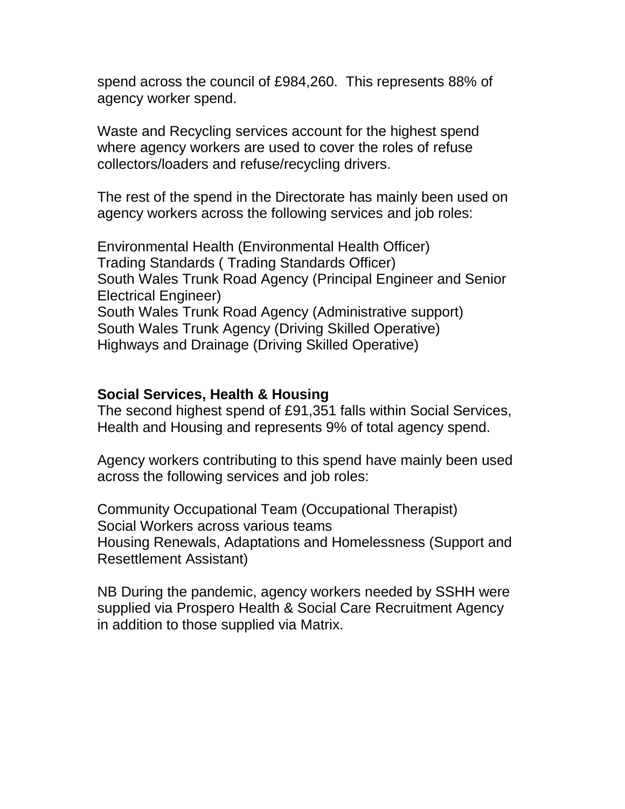spend across the council of £984,260. This represents 88% of agency worker spend.

Waste and Recycling services account for the highest spend where agency workers are used to cover the roles of refuse collectors/loaders and refuse/recycling drivers.

The rest of the spend in the Directorate has mainly been used on agency workers across the following services and job roles:

Environmental Health (Environmental Health Officer) Trading Standards ( Trading Standards Officer) South Wales Trunk Road Agency (Principal Engineer and Senior Electrical Engineer) South Wales Trunk Road Agency (Administrative support) South Wales Trunk Agency (Driving Skilled Operative) Highways and Drainage (Driving Skilled Operative)

#### **Social Services, Health & Housing**

The second highest spend of £91,351 falls within Social Services, Health and Housing and represents 9% of total agency spend.

Agency workers contributing to this spend have mainly been used across the following services and job roles:

Community Occupational Team (Occupational Therapist) Social Workers across various teams Housing Renewals, Adaptations and Homelessness (Support and Resettlement Assistant)

NB During the pandemic, agency workers needed by SSHH were supplied via Prospero Health & Social Care Recruitment Agency in addition to those supplied via Matrix.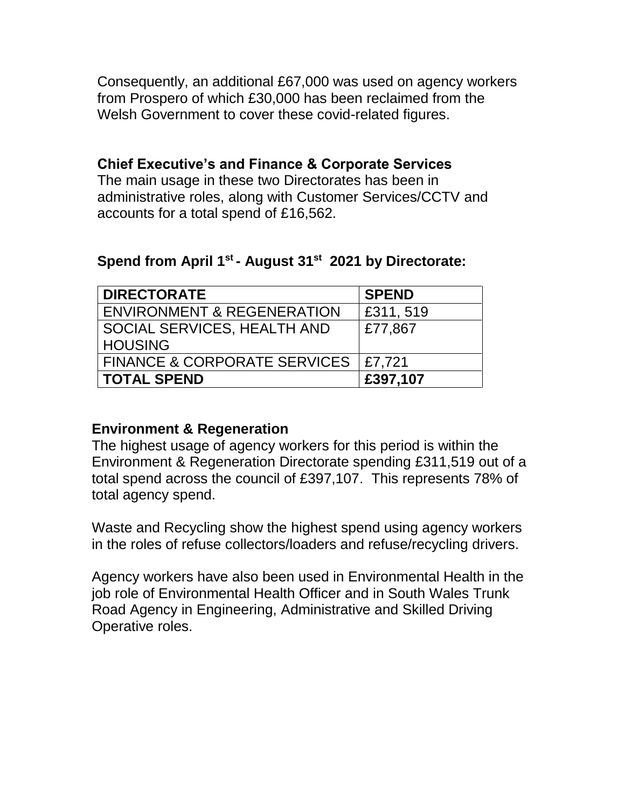Consequently, an additional £67,000 was used on agency workers from Prospero of which £30,000 has been reclaimed from the Welsh Government to cover these covid-related figures.

# **Chief Executive's and Finance & Corporate Services**

The main usage in these two Directorates has been in administrative roles, along with Customer Services/CCTV and accounts for a total spend of £16,562.

### **Spend from April 1st - August 31st 2021 by Directorate:**

| <b>DIRECTORATE</b>                      | <b>SPEND</b> |
|-----------------------------------------|--------------|
| <b>ENVIRONMENT &amp; REGENERATION</b>   | E311, 519    |
| SOCIAL SERVICES, HEALTH AND             | £77,867      |
| <b>HOUSING</b>                          |              |
| <b>FINANCE &amp; CORPORATE SERVICES</b> | E7,721       |
| <b>TOTAL SPEND</b>                      | £397,107     |

### **Environment & Regeneration**

The highest usage of agency workers for this period is within the Environment & Regeneration Directorate spending £311,519 out of a total spend across the council of £397,107. This represents 78% of total agency spend.

Waste and Recycling show the highest spend using agency workers in the roles of refuse collectors/loaders and refuse/recycling drivers.

Agency workers have also been used in Environmental Health in the job role of Environmental Health Officer and in South Wales Trunk Road Agency in Engineering, Administrative and Skilled Driving Operative roles.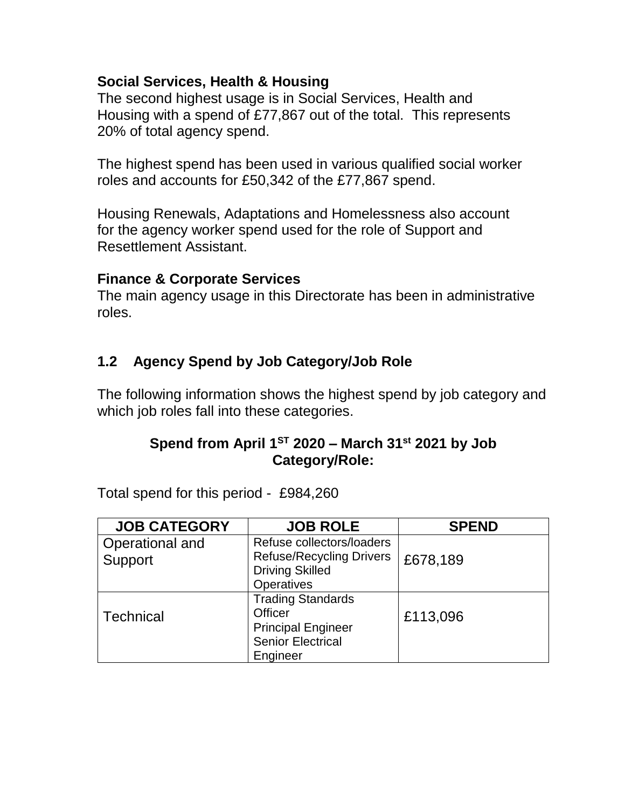# **Social Services, Health & Housing**

The second highest usage is in Social Services, Health and Housing with a spend of £77,867 out of the total. This represents 20% of total agency spend.

The highest spend has been used in various qualified social worker roles and accounts for £50,342 of the £77,867 spend.

Housing Renewals, Adaptations and Homelessness also account for the agency worker spend used for the role of Support and Resettlement Assistant.

#### **Finance & Corporate Services**

The main agency usage in this Directorate has been in administrative roles.

# **1.2 Agency Spend by Job Category/Job Role**

The following information shows the highest spend by job category and which job roles fall into these categories.

## **Spend from April 1ST 2020 – March 31st 2021 by Job Category/Role:**

Total spend for this period - £984,260

| <b>JOB CATEGORY</b>        | <b>JOB ROLE</b>                                                                                                 | <b>SPEND</b> |
|----------------------------|-----------------------------------------------------------------------------------------------------------------|--------------|
| Operational and<br>Support | Refuse collectors/loaders<br><b>Refuse/Recycling Drivers</b><br><b>Driving Skilled</b><br><b>Operatives</b>     | £678,189     |
| <b>Technical</b>           | <b>Trading Standards</b><br><b>Officer</b><br><b>Principal Engineer</b><br><b>Senior Electrical</b><br>Engineer | £113,096     |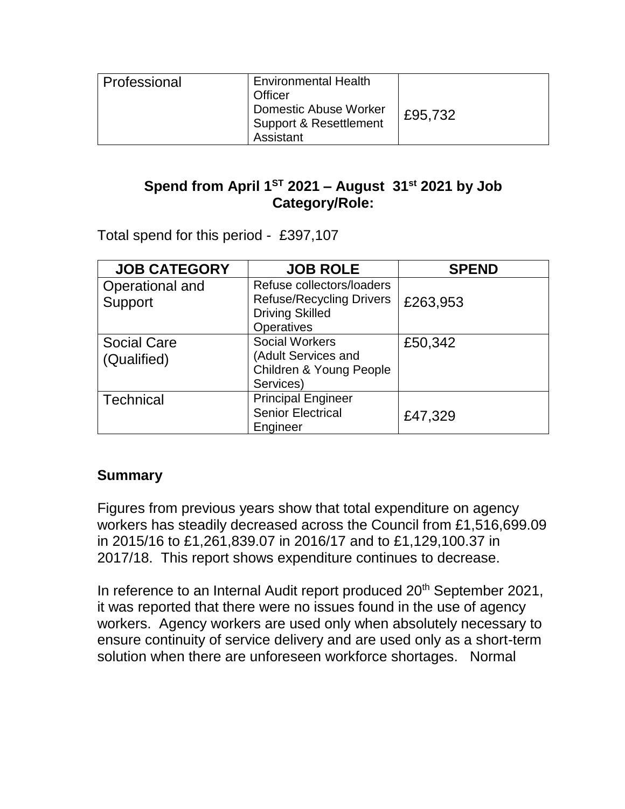| Professional | <b>Environmental Health</b><br>Officer<br><b>Domestic Abuse Worker</b><br>Support & Resettlement | £95,732 |
|--------------|--------------------------------------------------------------------------------------------------|---------|
|              | Assistant                                                                                        |         |

# **Spend from April 1ST 2021 – August 31st 2021 by Job Category/Role:**

Total spend for this period - £397,107

| <b>JOB CATEGORY</b>               | <b>JOB ROLE</b>                                                                                             | <b>SPEND</b> |
|-----------------------------------|-------------------------------------------------------------------------------------------------------------|--------------|
| Operational and<br>Support        | Refuse collectors/loaders<br><b>Refuse/Recycling Drivers</b><br><b>Driving Skilled</b><br><b>Operatives</b> | £263,953     |
| <b>Social Care</b><br>(Qualified) | <b>Social Workers</b><br>(Adult Services and<br>Children & Young People<br>Services)                        | £50,342      |
| <b>Technical</b>                  | <b>Principal Engineer</b><br><b>Senior Electrical</b><br>Engineer                                           | £47,329      |

# **Summary**

Figures from previous years show that total expenditure on agency workers has steadily decreased across the Council from £1,516,699.09 in 2015/16 to £1,261,839.07 in 2016/17 and to £1,129,100.37 in 2017/18. This report shows expenditure continues to decrease.

In reference to an Internal Audit report produced 20<sup>th</sup> September 2021, it was reported that there were no issues found in the use of agency workers. Agency workers are used only when absolutely necessary to ensure continuity of service delivery and are used only as a short-term solution when there are unforeseen workforce shortages. Normal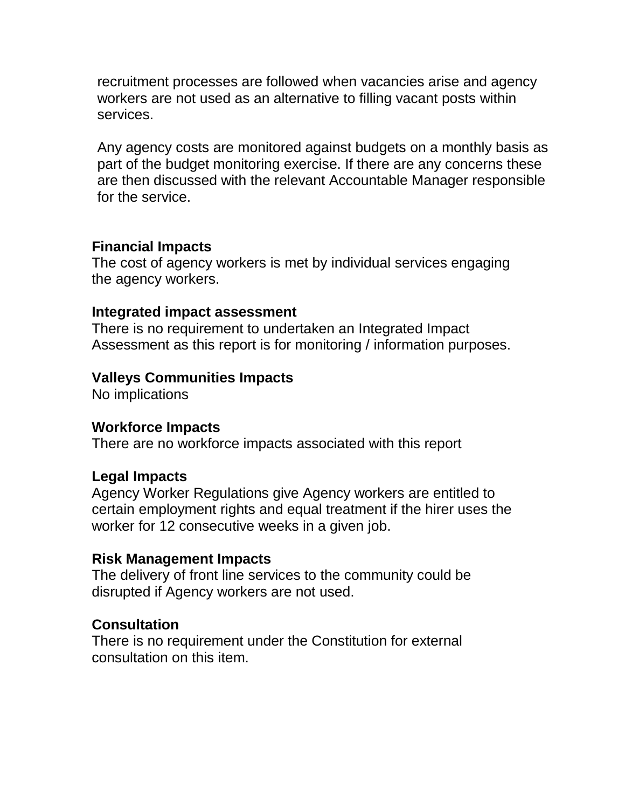recruitment processes are followed when vacancies arise and agency workers are not used as an alternative to filling vacant posts within services.

Any agency costs are monitored against budgets on a monthly basis as part of the budget monitoring exercise. If there are any concerns these are then discussed with the relevant Accountable Manager responsible for the service.

### **Financial Impacts**

The cost of agency workers is met by individual services engaging the agency workers.

#### **Integrated impact assessment**

There is no requirement to undertaken an Integrated Impact Assessment as this report is for monitoring / information purposes.

### **Valleys Communities Impacts**

No implications

#### **Workforce Impacts**

There are no workforce impacts associated with this report

### **Legal Impacts**

Agency Worker Regulations give Agency workers are entitled to certain employment rights and equal treatment if the hirer uses the worker for 12 consecutive weeks in a given job.

#### **Risk Management Impacts**

The delivery of front line services to the community could be disrupted if Agency workers are not used.

### **Consultation**

There is no requirement under the Constitution for external consultation on this item.